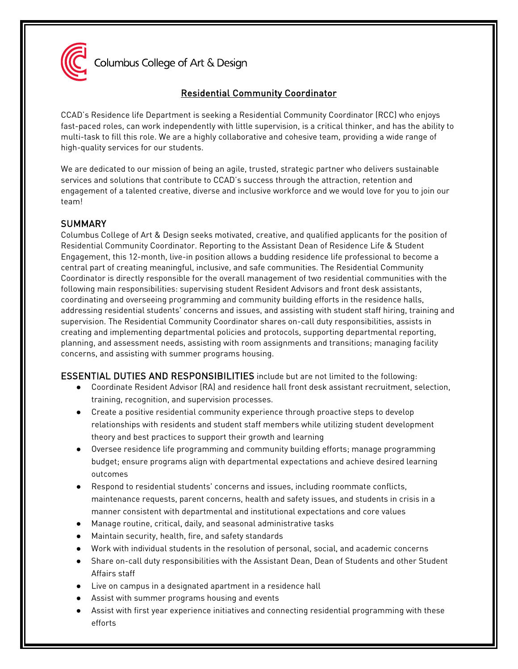

Columbus College of Art & Design

# Residential Community Coordinator

CCAD's Residence life Department is seeking a Residential Community Coordinator (RCC) who enjoys fast-paced roles, can work independently with little supervision, is a critical thinker, and has the ability to multi-task to fill this role. We are a highly collaborative and cohesive team, providing a wide range of high-quality services for our students.

We are dedicated to our mission of being an agile, trusted, strategic partner who delivers sustainable services and solutions that contribute to CCAD's success through the attraction, retention and engagement of a talented creative, diverse and inclusive workforce and we would love for you to join our team!

## **SUMMARY**

Columbus College of Art & Design seeks motivated, creative, and qualified applicants for the position of Residential Community Coordinator. Reporting to the Assistant Dean of Residence Life & Student Engagement, this 12-month, live-in position allows a budding residence life professional to become a central part of creating meaningful, inclusive, and safe communities. The Residential Community Coordinator is directly responsible for the overall management of two residential communities with the following main responsibilities: supervising student Resident Advisors and front desk assistants, coordinating and overseeing programming and community building efforts in the residence halls, addressing residential students' concerns and issues, and assisting with student staff hiring, training and supervision. The Residential Community Coordinator shares on-call duty responsibilities, assists in creating and implementing departmental policies and protocols, supporting departmental reporting, planning, and assessment needs, assisting with room assignments and transitions; managing facility concerns, and assisting with summer programs housing.

### ESSENTIAL DUTIES AND RESPONSIBILITIES include but are not limited to the following:

- Coordinate Resident Advisor (RA) and residence hall front desk assistant recruitment, selection, training, recognition, and supervision processes.
- Create a positive residential community experience through proactive steps to develop relationships with residents and student staff members while utilizing student development theory and best practices to support their growth and learning
- Oversee residence life programming and community building efforts; manage programming budget; ensure programs align with departmental expectations and achieve desired learning outcomes
- Respond to residential students' concerns and issues, including roommate conflicts, maintenance requests, parent concerns, health and safety issues, and students in crisis in a manner consistent with departmental and institutional expectations and core values
- Manage routine, critical, daily, and seasonal administrative tasks
- Maintain security, health, fire, and safety standards
- Work with individual students in the resolution of personal, social, and academic concerns
- Share on-call duty responsibilities with the Assistant Dean, Dean of Students and other Student Affairs staff
- Live on campus in a designated apartment in a residence hall
- Assist with summer programs housing and events
- Assist with first year experience initiatives and connecting residential programming with these efforts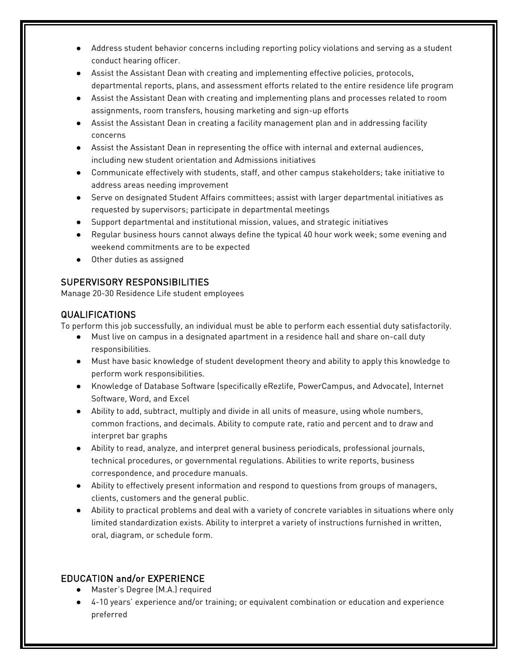- Address student behavior concerns including reporting policy violations and serving as a student conduct hearing officer.
- Assist the Assistant Dean with creating and implementing effective policies, protocols, departmental reports, plans, and assessment efforts related to the entire residence life program
- Assist the Assistant Dean with creating and implementing plans and processes related to room assignments, room transfers, housing marketing and sign-up efforts
- Assist the Assistant Dean in creating a facility management plan and in addressing facility concerns
- Assist the Assistant Dean in representing the office with internal and external audiences, including new student orientation and Admissions initiatives
- Communicate effectively with students, staff, and other campus stakeholders; take initiative to address areas needing improvement
- Serve on designated Student Affairs committees; assist with larger departmental initiatives as requested by supervisors; participate in departmental meetings
- Support departmental and institutional mission, values, and strategic initiatives
- Regular business hours cannot always define the typical 40 hour work week; some evening and weekend commitments are to be expected
- Other duties as assigned

# SUPERVISORY RESPONSIBILITIES

Manage 20-30 Residence Life student employees

## QUALIFICATIONS

To perform this job successfully, an individual must be able to perform each essential duty satisfactorily.

- Must live on campus in a designated apartment in a residence hall and share on-call duty responsibilities.
- Must have basic knowledge of student development theory and ability to apply this knowledge to perform work responsibilities.
- Knowledge of Database Software (specifically eRezlife, PowerCampus, and Advocate), Internet Software, Word, and Excel
- Ability to add, subtract, multiply and divide in all units of measure, using whole numbers, common fractions, and decimals. Ability to compute rate, ratio and percent and to draw and interpret bar graphs
- Ability to read, analyze, and interpret general business periodicals, professional journals, technical procedures, or governmental regulations. Abilities to write reports, business correspondence, and procedure manuals.
- Ability to effectively present information and respond to questions from groups of managers, clients, customers and the general public.
- Ability to practical problems and deal with a variety of concrete variables in situations where only limited standardization exists. Ability to interpret a variety of instructions furnished in written, oral, diagram, or schedule form.

# EDUCATION and/or EXPERIENCE

- Master's Degree (M.A.) required
- 4-10 years' experience and/or training; or equivalent combination or education and experience preferred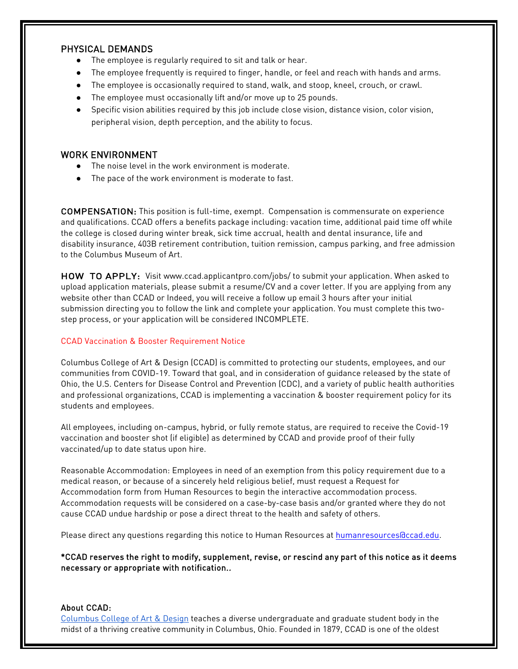## PHYSICAL DEMANDS

- The employee is regularly required to sit and talk or hear.
- The employee frequently is required to finger, handle, or feel and reach with hands and arms.
- The employee is occasionally required to stand, walk, and stoop, kneel, crouch, or crawl.
- The employee must occasionally lift and/or move up to 25 pounds.
- Specific vision abilities required by this job include close vision, distance vision, color vision, peripheral vision, depth perception, and the ability to focus.

### WORK ENVIRONMENT

- The noise level in the work environment is moderate.
- The pace of the work environment is moderate to fast.

COMPENSATION: This position is full-time, exempt. Compensation is commensurate on experience and qualifications. CCAD offers a benefits package including: vacation time, additional paid time off while the college is closed during winter break, sick time accrual, health and dental insurance, life and disability insurance, 403B retirement contribution, tuition remission, campus parking, and free admission to the Columbus Museum of Art.

HOW TO APPLY: Visit [www.ccad.applicantpro.com/jobs/ t](http://www.ccad.applicantpro.com/jobs/)o submit your application. When asked to upload application materials, please submit a resume/CV and a cover letter. If you are applying from any website other than CCAD or Indeed, you will receive a follow up email 3 hours after your initial submission directing you to follow the link and complete your application. You must complete this twostep process, or your application will be considered INCOMPLETE.

#### CCAD Vaccination & Booster Requirement Notice

Columbus College of Art & Design (CCAD) is committed to protecting our students, employees, and our communities from COVID-19. Toward that goal, and in consideration of guidance released by the state of Ohio, the U.S. Centers for Disease Control and Prevention (CDC), and a variety of public health authorities and professional organizations, CCAD is implementing a vaccination & booster requirement policy for its students and employees.

All employees, including on-campus, hybrid, or fully remote status, are required to receive the Covid-19 vaccination and booster shot (if eligible) as determined by CCAD and provide proof of their fully vaccinated/up to date status upon hire.

Reasonable Accommodation: Employees in need of an exemption from this policy requirement due to a medical reason, or because of a sincerely held religious belief, must request a Request for Accommodation form from Human Resources to begin the interactive accommodation process. Accommodation requests will be considered on a case-by-case basis and/or granted where they do not cause CCAD undue hardship or pose a direct threat to the health and safety of others.

Please direct any questions regarding this notice to Human Resources at [humanresources@ccad.edu.](mailto:humanresources@ccad.edu)

\*CCAD reserves the right to modify, supplement, revise, or rescind any part of this notice as it deems necessary or appropriate with notification..

#### About CCAD:

[Columbus College of Art & Design](https://www.ccad.edu/) teaches a diverse undergraduate and graduate student body in the midst of a thriving creative community in Columbus, Ohio. Founded in 1879, CCAD is one of the oldest